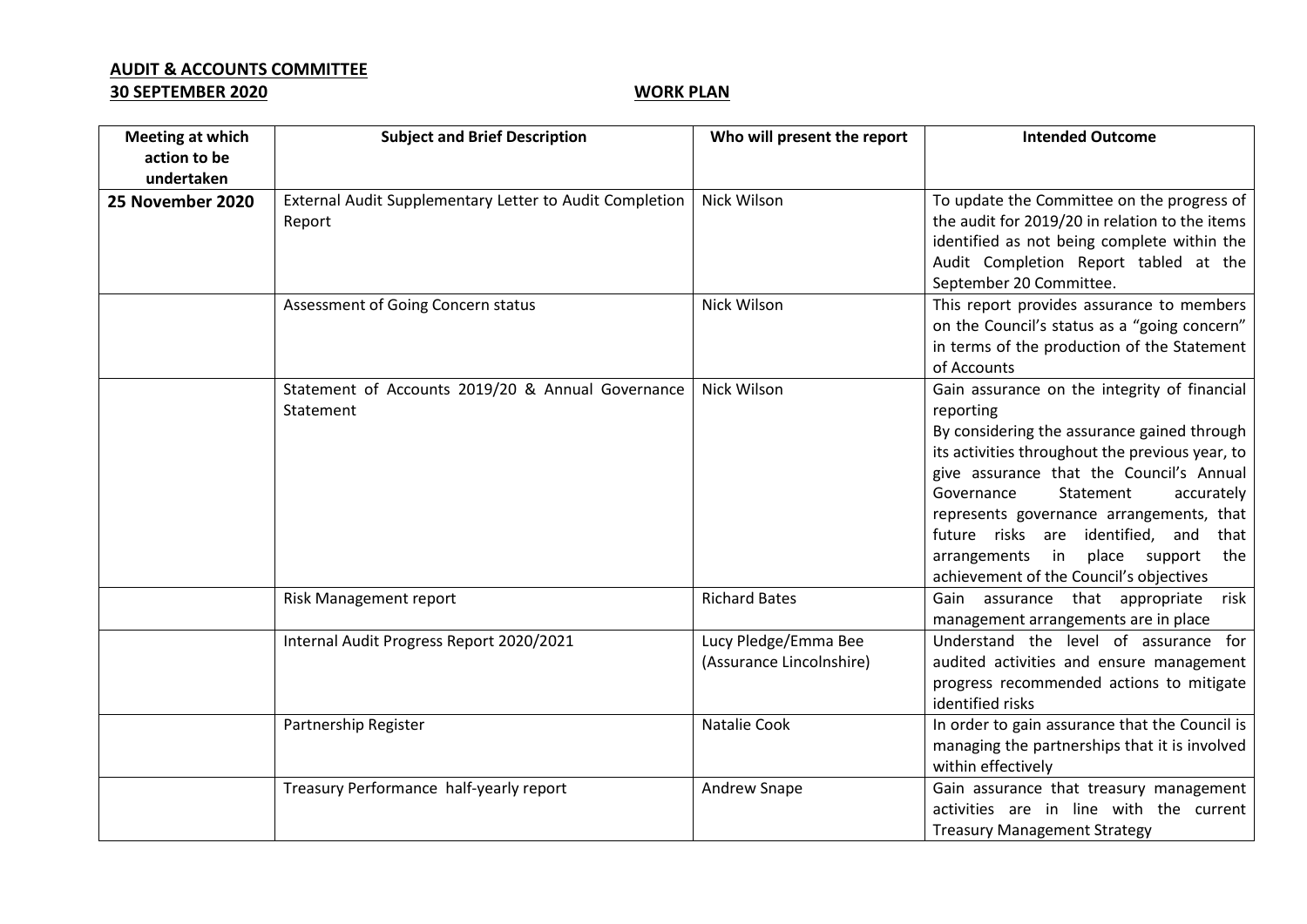## **AUDIT & ACCOUNTS COMMITTEE**

## **30 SEPTEMBER 2020 WORK PLAN**

| <b>Meeting at which</b> | <b>Subject and Brief Description</b>                              | Who will present the report                      | <b>Intended Outcome</b>                                                                                                                                                                                                                                                                                                                                                                                                     |
|-------------------------|-------------------------------------------------------------------|--------------------------------------------------|-----------------------------------------------------------------------------------------------------------------------------------------------------------------------------------------------------------------------------------------------------------------------------------------------------------------------------------------------------------------------------------------------------------------------------|
| action to be            |                                                                   |                                                  |                                                                                                                                                                                                                                                                                                                                                                                                                             |
| undertaken              |                                                                   |                                                  |                                                                                                                                                                                                                                                                                                                                                                                                                             |
| 25 November 2020        | External Audit Supplementary Letter to Audit Completion<br>Report | Nick Wilson                                      | To update the Committee on the progress of<br>the audit for 2019/20 in relation to the items<br>identified as not being complete within the<br>Audit Completion Report tabled at the<br>September 20 Committee.                                                                                                                                                                                                             |
|                         | Assessment of Going Concern status                                | Nick Wilson                                      | This report provides assurance to members<br>on the Council's status as a "going concern"<br>in terms of the production of the Statement<br>of Accounts                                                                                                                                                                                                                                                                     |
|                         | Statement of Accounts 2019/20 & Annual Governance<br>Statement    | Nick Wilson                                      | Gain assurance on the integrity of financial<br>reporting<br>By considering the assurance gained through<br>its activities throughout the previous year, to<br>give assurance that the Council's Annual<br>Governance<br>Statement<br>accurately<br>represents governance arrangements, that<br>future risks are identified, and that<br>arrangements in<br>place support<br>the<br>achievement of the Council's objectives |
|                         | Risk Management report                                            | <b>Richard Bates</b>                             | Gain assurance that appropriate risk<br>management arrangements are in place                                                                                                                                                                                                                                                                                                                                                |
|                         | Internal Audit Progress Report 2020/2021                          | Lucy Pledge/Emma Bee<br>(Assurance Lincolnshire) | Understand the level of assurance for<br>audited activities and ensure management<br>progress recommended actions to mitigate<br>identified risks                                                                                                                                                                                                                                                                           |
|                         | Partnership Register                                              | Natalie Cook                                     | In order to gain assurance that the Council is<br>managing the partnerships that it is involved<br>within effectively                                                                                                                                                                                                                                                                                                       |
|                         | Treasury Performance half-yearly report                           | Andrew Snape                                     | Gain assurance that treasury management<br>activities are in line with the current<br><b>Treasury Management Strategy</b>                                                                                                                                                                                                                                                                                                   |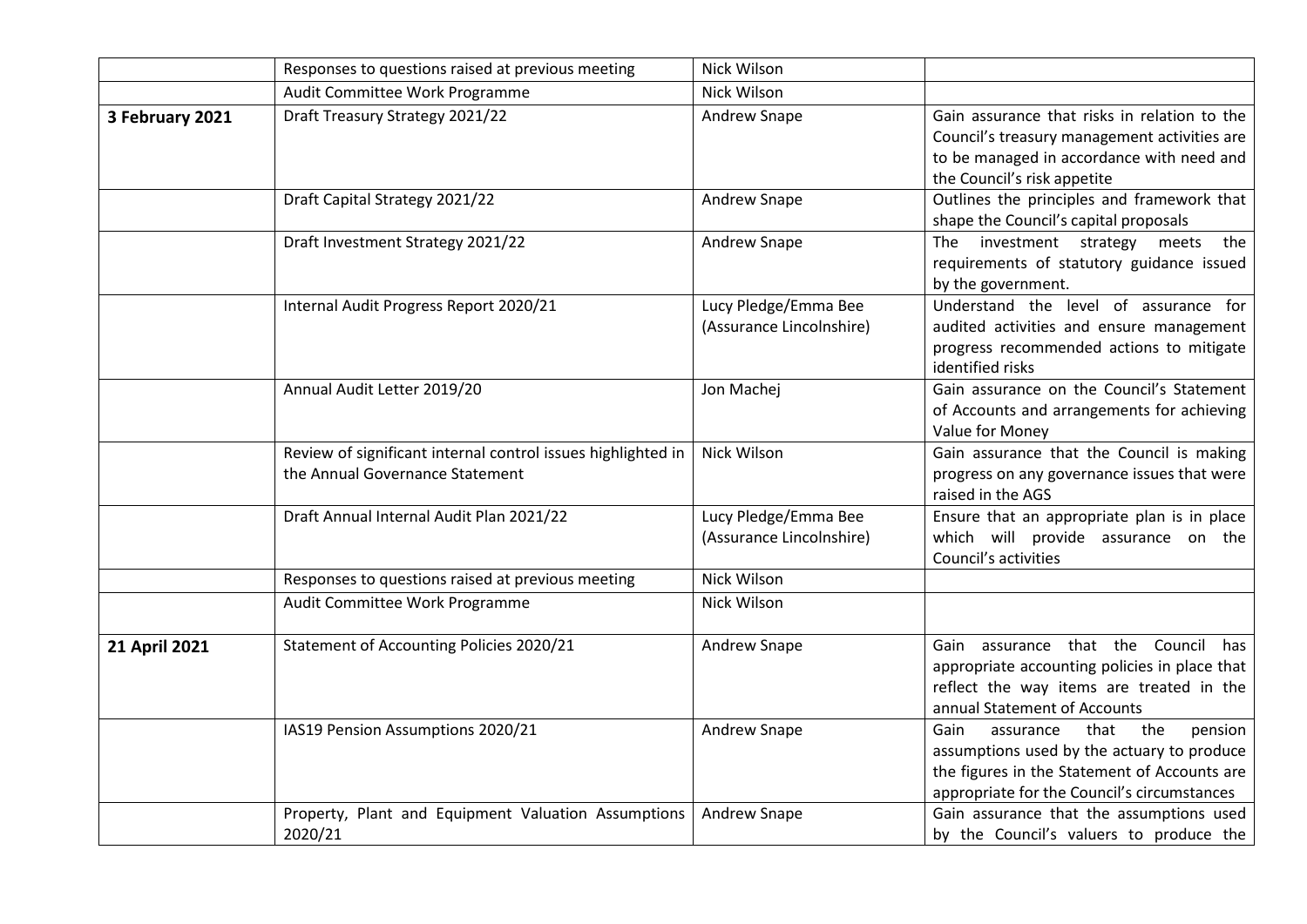|                      | Responses to questions raised at previous meeting                                               | Nick Wilson                                      |                                                                                                                                                                                          |
|----------------------|-------------------------------------------------------------------------------------------------|--------------------------------------------------|------------------------------------------------------------------------------------------------------------------------------------------------------------------------------------------|
|                      | Audit Committee Work Programme                                                                  | <b>Nick Wilson</b>                               |                                                                                                                                                                                          |
| 3 February 2021      | Draft Treasury Strategy 2021/22                                                                 | Andrew Snape                                     | Gain assurance that risks in relation to the<br>Council's treasury management activities are<br>to be managed in accordance with need and<br>the Council's risk appetite                 |
|                      | Draft Capital Strategy 2021/22                                                                  | Andrew Snape                                     | Outlines the principles and framework that<br>shape the Council's capital proposals                                                                                                      |
|                      | Draft Investment Strategy 2021/22                                                               | Andrew Snape                                     | The investment strategy meets<br>the<br>requirements of statutory guidance issued<br>by the government.                                                                                  |
|                      | Internal Audit Progress Report 2020/21                                                          | Lucy Pledge/Emma Bee<br>(Assurance Lincolnshire) | Understand the level of assurance for<br>audited activities and ensure management<br>progress recommended actions to mitigate<br>identified risks                                        |
|                      | Annual Audit Letter 2019/20                                                                     | Jon Machej                                       | Gain assurance on the Council's Statement<br>of Accounts and arrangements for achieving<br>Value for Money                                                                               |
|                      | Review of significant internal control issues highlighted in<br>the Annual Governance Statement | Nick Wilson                                      | Gain assurance that the Council is making<br>progress on any governance issues that were<br>raised in the AGS                                                                            |
|                      | Draft Annual Internal Audit Plan 2021/22                                                        | Lucy Pledge/Emma Bee<br>(Assurance Lincolnshire) | Ensure that an appropriate plan is in place<br>which will provide assurance on the<br>Council's activities                                                                               |
|                      | Responses to questions raised at previous meeting                                               | Nick Wilson                                      |                                                                                                                                                                                          |
|                      | Audit Committee Work Programme                                                                  | Nick Wilson                                      |                                                                                                                                                                                          |
| <b>21 April 2021</b> | <b>Statement of Accounting Policies 2020/21</b>                                                 | Andrew Snape                                     | Gain assurance that the Council<br>has<br>appropriate accounting policies in place that<br>reflect the way items are treated in the<br>annual Statement of Accounts                      |
|                      | IAS19 Pension Assumptions 2020/21                                                               | Andrew Snape                                     | Gain<br>the<br>that<br>assurance<br>pension<br>assumptions used by the actuary to produce<br>the figures in the Statement of Accounts are<br>appropriate for the Council's circumstances |
|                      | Property, Plant and Equipment Valuation Assumptions<br>2020/21                                  | Andrew Snape                                     | Gain assurance that the assumptions used<br>by the Council's valuers to produce the                                                                                                      |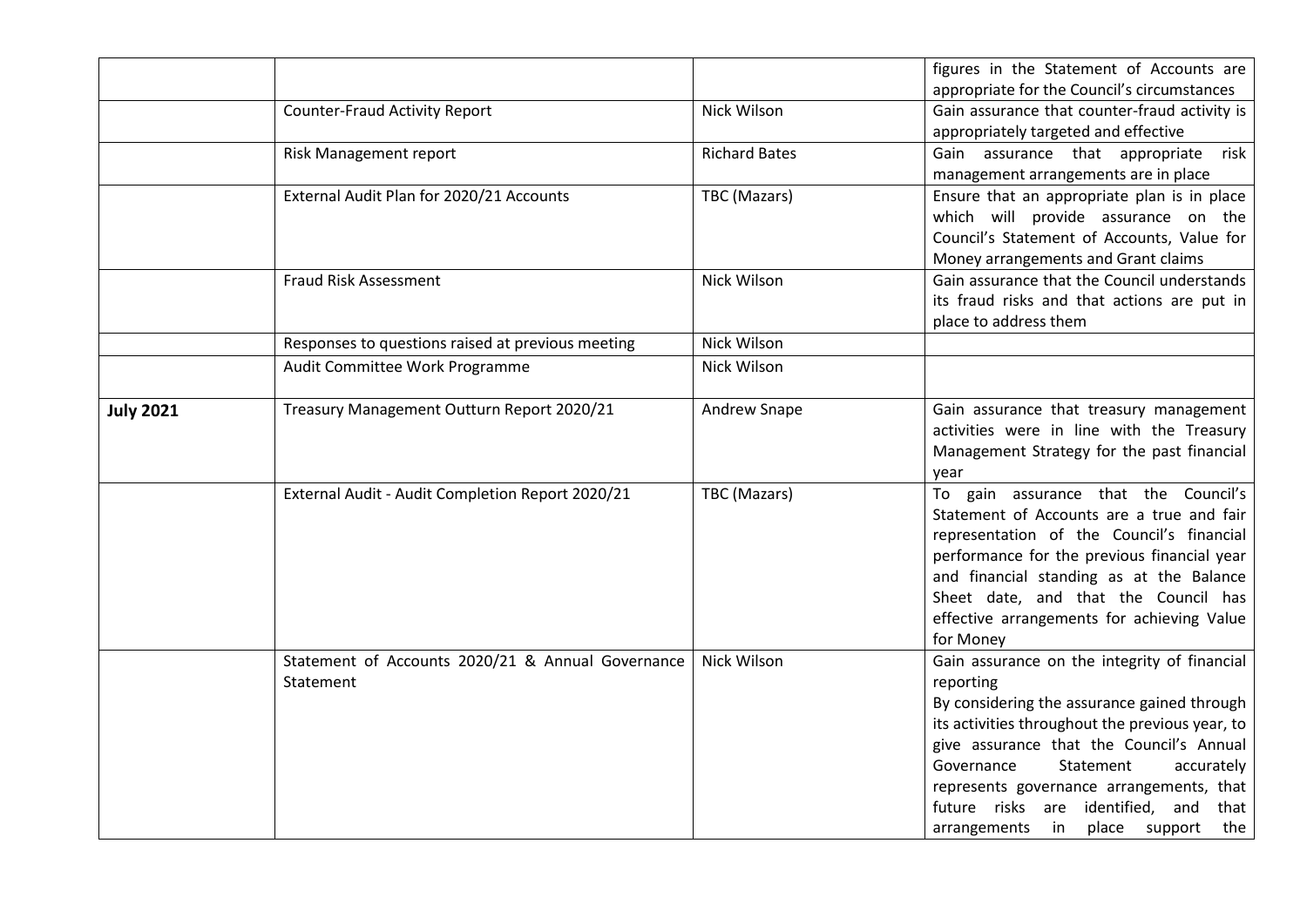|                  |                                                                |                      | figures in the Statement of Accounts are<br>appropriate for the Council's circumstances                                                                                                                                                                                                                                                                                       |
|------------------|----------------------------------------------------------------|----------------------|-------------------------------------------------------------------------------------------------------------------------------------------------------------------------------------------------------------------------------------------------------------------------------------------------------------------------------------------------------------------------------|
|                  | <b>Counter-Fraud Activity Report</b>                           | Nick Wilson          | Gain assurance that counter-fraud activity is<br>appropriately targeted and effective                                                                                                                                                                                                                                                                                         |
|                  | Risk Management report                                         | <b>Richard Bates</b> | Gain assurance that appropriate<br>risk<br>management arrangements are in place                                                                                                                                                                                                                                                                                               |
|                  | External Audit Plan for 2020/21 Accounts                       | TBC (Mazars)         | Ensure that an appropriate plan is in place<br>which will provide assurance on the<br>Council's Statement of Accounts, Value for<br>Money arrangements and Grant claims                                                                                                                                                                                                       |
|                  | Fraud Risk Assessment                                          | Nick Wilson          | Gain assurance that the Council understands<br>its fraud risks and that actions are put in<br>place to address them                                                                                                                                                                                                                                                           |
|                  | Responses to questions raised at previous meeting              | Nick Wilson          |                                                                                                                                                                                                                                                                                                                                                                               |
|                  | Audit Committee Work Programme                                 | Nick Wilson          |                                                                                                                                                                                                                                                                                                                                                                               |
| <b>July 2021</b> | Treasury Management Outturn Report 2020/21                     | <b>Andrew Snape</b>  | Gain assurance that treasury management<br>activities were in line with the Treasury<br>Management Strategy for the past financial<br>year                                                                                                                                                                                                                                    |
|                  | External Audit - Audit Completion Report 2020/21               | TBC (Mazars)         | To gain assurance that the Council's<br>Statement of Accounts are a true and fair<br>representation of the Council's financial<br>performance for the previous financial year<br>and financial standing as at the Balance<br>Sheet date, and that the Council has<br>effective arrangements for achieving Value<br>for Money                                                  |
|                  | Statement of Accounts 2020/21 & Annual Governance<br>Statement | Nick Wilson          | Gain assurance on the integrity of financial<br>reporting<br>By considering the assurance gained through<br>its activities throughout the previous year, to<br>give assurance that the Council's Annual<br>Governance<br>Statement<br>accurately<br>represents governance arrangements, that<br>future risks are identified, and that<br>place support the<br>arrangements in |